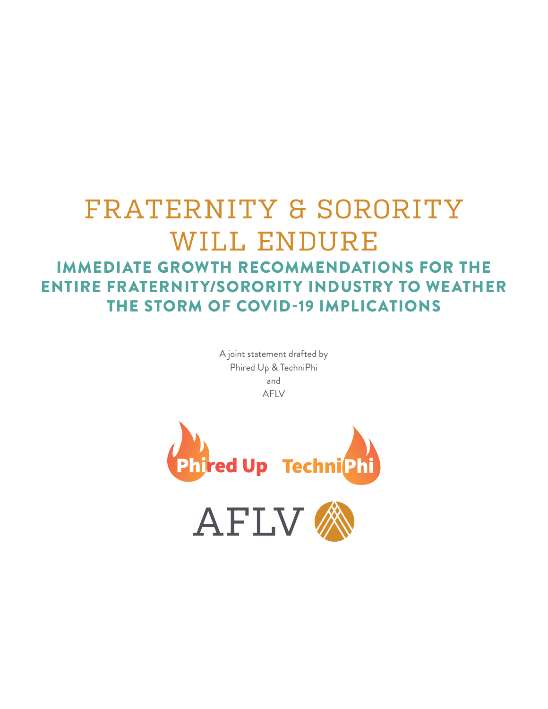# FRATERNITY & SORORITY WILL ENDURE IMMEDIATE GROWTH RECOMMENDATIONS FOR THE ENTIRE FRATERNITY/SORORITY INDUSTRY TO WEATHER THE STORM OF COVID-19 IMPLICATIONS

A joint statement drafted by Phired Up & TechniPhi and AFLV

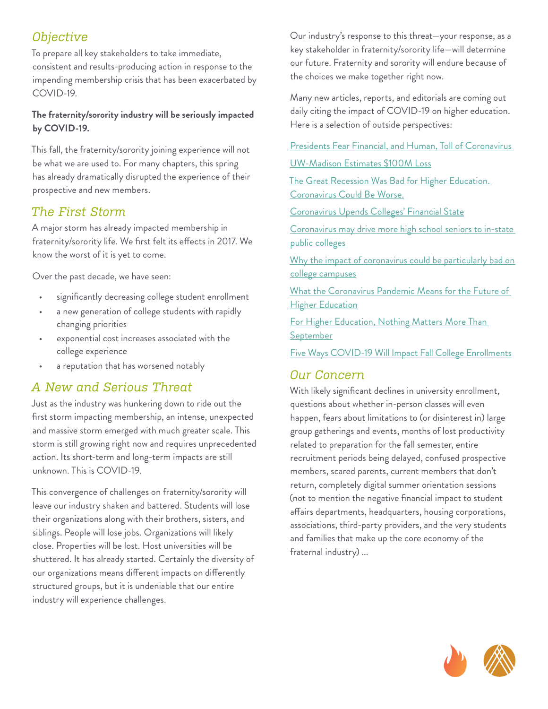# *Objective*

To prepare all key stakeholders to take immediate, consistent and results-producing action in response to the impending membership crisis that has been exacerbated by COVID-19.

#### **The fraternity/sorority industry will be seriously impacted by COVID-19.**

This fall, the fraternity/sorority joining experience will not be what we are used to. For many chapters, this spring has already dramatically disrupted the experience of their prospective and new members.

## *The First Storm*

A major storm has already impacted membership in fraternity/sorority life. We first felt its effects in 2017. We know the worst of it is yet to come.

Over the past decade, we have seen:

- significantly decreasing college student enrollment
- a new generation of college students with rapidly changing priorities
- exponential cost increases associated with the college experience
- a reputation that has worsened notably

# *A New and Serious Threat*

Just as the industry was hunkering down to ride out the first storm impacting membership, an intense, unexpected and massive storm emerged with much greater scale. This storm is still growing right now and requires unprecedented action. Its short-term and long-term impacts are still unknown. This is COVID-19.

This convergence of challenges on fraternity/sorority will leave our industry shaken and battered. Students will lose their organizations along with their brothers, sisters, and siblings. People will lose jobs. Organizations will likely close. Properties will be lost. Host universities will be shuttered. It has already started. Certainly the diversity of our organizations means different impacts on differently structured groups, but it is undeniable that our entire industry will experience challenges.

Our industry's response to this threat—your response, as a key stakeholder in fraternity/sorority life—will determine our future. Fraternity and sorority will endure because of the choices we make together right now.

Many new articles, reports, and editorials are coming out daily citing the impact of COVID-19 on higher education. Here is a selection of outside perspectives:

[Presidents Fear Financial, and Human, Toll of Coronavirus](https://www.insidehighered.com/news/survey/college-presidents-fear-financial-and-human-toll-coronavirus-their-campuses) 

[UW-Madison Estimates \\$100M Loss](https://madison.com/wsj/news/local/education/university/uw-madison-braces-for-estimated-million-loss-because-of-covid/article_fc8f7e42-cbb3-5d2d-ad16-6e1e5aab8e3a.html)

[The Great Recession Was Bad for Higher Education.](https://www.chronicle.com/article/The-Great-Recession-Was-Bad/248317?fbclid=IwAR2E2eX7Xwa63SM_TW6U520FSc2sCfJS4_qkQ4txqVazToyNvrLoLmLUObk)  [Coronavirus Could Be Worse.](https://www.chronicle.com/article/The-Great-Recession-Was-Bad/248317?fbclid=IwAR2E2eX7Xwa63SM_TW6U520FSc2sCfJS4_qkQ4txqVazToyNvrLoLmLUObk)

[Coronavirus Upends Colleges' Financial State](https://www.insidehighered.com/news/2020/03/20/coronavirus-outbreak-piles-short-term-costs-and-long-term-uncertainty-college-and)

[Coronavirus may drive more high school seniors to in-state](https://www.cnbc.com/2020/03/17/coronavirus-will-cause-more-high-school-seniors-to-pick-local-colleges.html)  [public colleges](https://www.cnbc.com/2020/03/17/coronavirus-will-cause-more-high-school-seniors-to-pick-local-colleges.html)

Why the impact of coronavirus could be particularly bad on [college campuses](https://www.cnn.com/2020/03/07/health/universities-coronavirus-impact/index.html)

[What the Coronavirus Pandemic Means for the Future of](https://www.bloomberg.com/news/videos/2020-03-30/is-the-coronavirus-pandemic-the-death-knell-for-standardized-tests-video)  **[Higher Education](https://www.bloomberg.com/news/videos/2020-03-30/is-the-coronavirus-pandemic-the-death-knell-for-standardized-tests-video)** 

[For Higher Education, Nothing Matters More Than](https://www.forbes.com/sites/paulleblanc/2020/03/29/for-higher-education-nothing-matters-more-than-september/#70367d59538b)  **[September](https://www.forbes.com/sites/paulleblanc/2020/03/29/for-higher-education-nothing-matters-more-than-september/#70367d59538b)** 

[Five Ways COVID-19 Will Impact Fall College Enrollments](https://www.forbes.com/sites/dereknewton/2020/03/30/five-ways-covid-19-will-impact-fall-college-enrollments/#d76b1ea6114f)

## *Our Concern*

With likely significant declines in university enrollment, questions about whether in-person classes will even happen, fears about limitations to (or disinterest in) large group gatherings and events, months of lost productivity related to preparation for the fall semester, entire recruitment periods being delayed, confused prospective members, scared parents, current members that don't return, completely digital summer orientation sessions (not to mention the negative financial impact to student affairs departments, headquarters, housing corporations, associations, third-party providers, and the very students and families that make up the core economy of the fraternal industry) ...

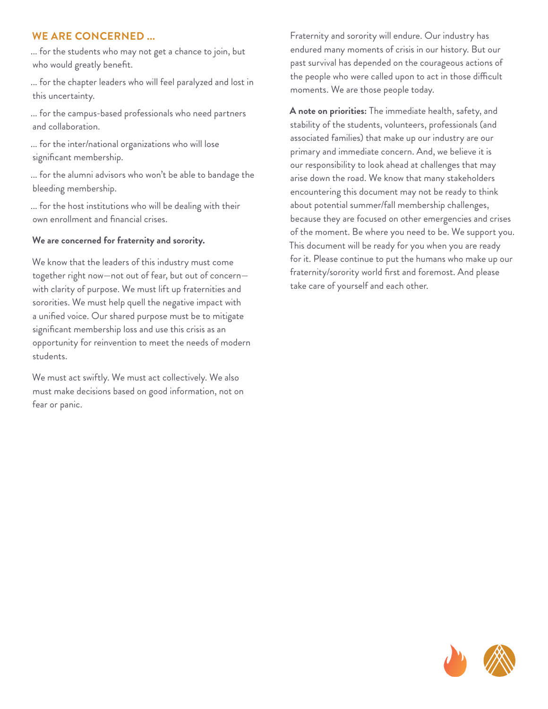#### **WE ARE CONCERNED ...**

... for the students who may not get a chance to join, but who would greatly benefit.

... for the chapter leaders who will feel paralyzed and lost in this uncertainty.

... for the campus-based professionals who need partners and collaboration.

... for the inter/national organizations who will lose significant membership.

... for the alumni advisors who won't be able to bandage the bleeding membership.

... for the host institutions who will be dealing with their own enrollment and financial crises.

#### **We are concerned for fraternity and sorority.**

We know that the leaders of this industry must come together right now—not out of fear, but out of concern with clarity of purpose. We must lift up fraternities and sororities. We must help quell the negative impact with a unified voice. Our shared purpose must be to mitigate significant membership loss and use this crisis as an opportunity for reinvention to meet the needs of modern students.

We must act swiftly. We must act collectively. We also must make decisions based on good information, not on fear or panic.

Fraternity and sorority will endure. Our industry has endured many moments of crisis in our history. But our past survival has depended on the courageous actions of the people who were called upon to act in those difficult moments. We are those people today.

**A note on priorities:** The immediate health, safety, and stability of the students, volunteers, professionals (and associated families) that make up our industry are our primary and immediate concern. And, we believe it is our responsibility to look ahead at challenges that may arise down the road. We know that many stakeholders encountering this document may not be ready to think about potential summer/fall membership challenges, because they are focused on other emergencies and crises of the moment. Be where you need to be. We support you. This document will be ready for you when you are ready for it. Please continue to put the humans who make up our fraternity/sorority world first and foremost. And please take care of yourself and each other.

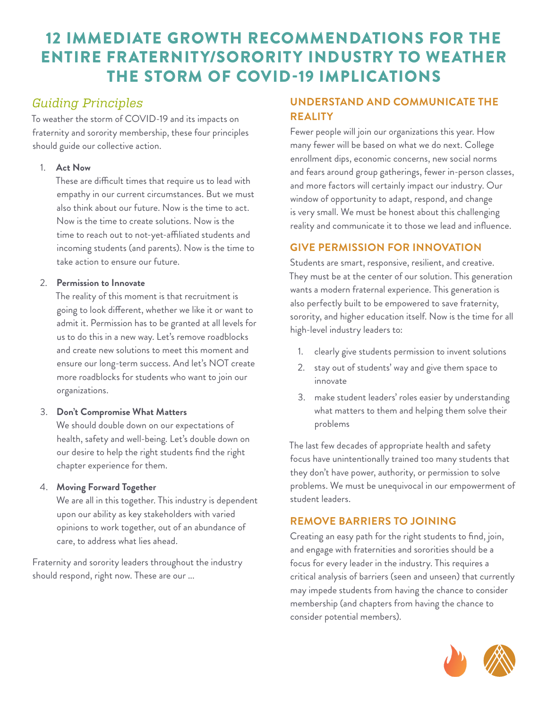# 12 IMMEDIATE GROWTH RECOMMENDATIONS FOR THE ENTIRE FRATERNITY/SORORITY INDUSTRY TO WEATHER THE STORM OF COVID-19 IMPLICATIONS

# *Guiding Principles*

To weather the storm of COVID-19 and its impacts on fraternity and sorority membership, these four principles should guide our collective action.

## 1. **Act Now**

These are difficult times that require us to lead with empathy in our current circumstances. But we must also think about our future. Now is the time to act. Now is the time to create solutions. Now is the time to reach out to not-yet-affiliated students and incoming students (and parents). Now is the time to take action to ensure our future.

#### 2. **Permission to Innovate**

The reality of this moment is that recruitment is going to look different, whether we like it or want to admit it. Permission has to be granted at all levels for us to do this in a new way. Let's remove roadblocks and create new solutions to meet this moment and ensure our long-term success. And let's NOT create more roadblocks for students who want to join our organizations.

## 3. **Don't Compromise What Matters**

We should double down on our expectations of health, safety and well-being. Let's double down on our desire to help the right students find the right chapter experience for them.

## 4. **Moving Forward Together**

We are all in this together. This industry is dependent upon our ability as key stakeholders with varied opinions to work together, out of an abundance of care, to address what lies ahead.

Fraternity and sorority leaders throughout the industry should respond, right now. These are our ...

## **UNDERSTAND AND COMMUNICATE THE REALITY**

Fewer people will join our organizations this year. How many fewer will be based on what we do next. College enrollment dips, economic concerns, new social norms and fears around group gatherings, fewer in-person classes, and more factors will certainly impact our industry. Our window of opportunity to adapt, respond, and change is very small. We must be honest about this challenging reality and communicate it to those we lead and influence.

## **GIVE PERMISSION FOR INNOVATION**

Students are smart, responsive, resilient, and creative. They must be at the center of our solution. This generation wants a modern fraternal experience. This generation is also perfectly built to be empowered to save fraternity, sorority, and higher education itself. Now is the time for all high-level industry leaders to:

- clearly give students permission to invent solutions
- 2. stay out of students' way and give them space to innovate
- 3. make student leaders' roles easier by understanding what matters to them and helping them solve their problems

The last few decades of appropriate health and safety focus have unintentionally trained too many students that they don't have power, authority, or permission to solve problems. We must be unequivocal in our empowerment of student leaders.

## **REMOVE BARRIERS TO JOINING**

Creating an easy path for the right students to find, join, and engage with fraternities and sororities should be a focus for every leader in the industry. This requires a critical analysis of barriers (seen and unseen) that currently may impede students from having the chance to consider membership (and chapters from having the chance to consider potential members).

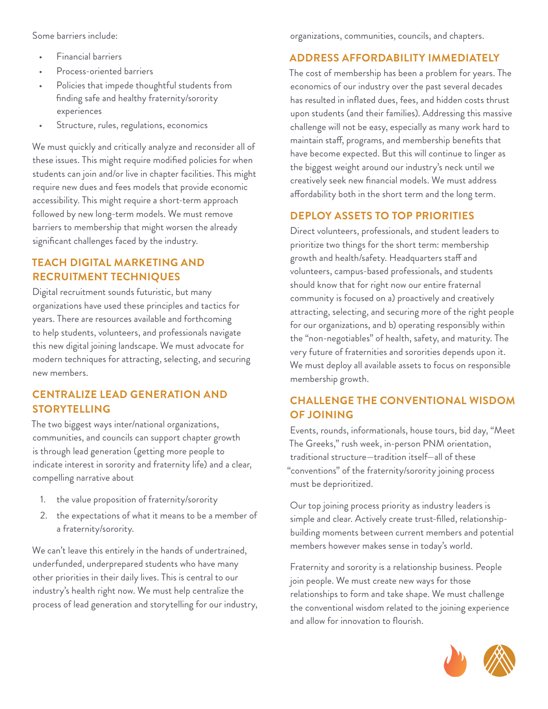Some barriers include:

- Financial barriers
- Process-oriented barriers
- Policies that impede thoughtful students from finding safe and healthy fraternity/sorority experiences
- Structure, rules, regulations, economics

We must quickly and critically analyze and reconsider all of these issues. This might require modified policies for when students can join and/or live in chapter facilities. This might require new dues and fees models that provide economic accessibility. This might require a short-term approach followed by new long-term models. We must remove barriers to membership that might worsen the already significant challenges faced by the industry.

## **TEACH DIGITAL MARKETING AND RECRUITMENT TECHNIQUES**

Digital recruitment sounds futuristic, but many organizations have used these principles and tactics for years. There are resources available and forthcoming to help students, volunteers, and professionals navigate this new digital joining landscape. We must advocate for modern techniques for attracting, selecting, and securing new members.

## **CENTRALIZE LEAD GENERATION AND STORYTELLING**

The two biggest ways inter/national organizations, communities, and councils can support chapter growth is through lead generation (getting more people to indicate interest in sorority and fraternity life) and a clear, compelling narrative about

- 1. the value proposition of fraternity/sorority
- 2. the expectations of what it means to be a member of a fraternity/sorority.

We can't leave this entirely in the hands of undertrained, underfunded, underprepared students who have many other priorities in their daily lives. This is central to our industry's health right now. We must help centralize the process of lead generation and storytelling for our industry, organizations, communities, councils, and chapters.

## **ADDRESS AFFORDABILITY IMMEDIATELY**

The cost of membership has been a problem for years. The economics of our industry over the past several decades has resulted in inflated dues, fees, and hidden costs thrust upon students (and their families). Addressing this massive challenge will not be easy, especially as many work hard to maintain staff, programs, and membership benefits that have become expected. But this will continue to linger as the biggest weight around our industry's neck until we creatively seek new financial models. We must address affordability both in the short term and the long term.

## **DEPLOY ASSETS TO TOP PRIORITIES**

Direct volunteers, professionals, and student leaders to prioritize two things for the short term: membership growth and health/safety. Headquarters staff and volunteers, campus-based professionals, and students should know that for right now our entire fraternal community is focused on a) proactively and creatively attracting, selecting, and securing more of the right people for our organizations, and b) operating responsibly within the "non-negotiables" of health, safety, and maturity. The very future of fraternities and sororities depends upon it. We must deploy all available assets to focus on responsible membership growth.

## **CHALLENGE THE CONVENTIONAL WISDOM OF JOINING**

Events, rounds, informationals, house tours, bid day, "Meet The Greeks," rush week, in-person PNM orientation, traditional structure—tradition itself—all of these "conventions" of the fraternity/sorority joining process must be deprioritized.

Our top joining process priority as industry leaders is simple and clear. Actively create trust-filled, relationshipbuilding moments between current members and potential members however makes sense in today's world.

Fraternity and sorority is a relationship business. People join people. We must create new ways for those relationships to form and take shape. We must challenge the conventional wisdom related to the joining experience and allow for innovation to flourish.

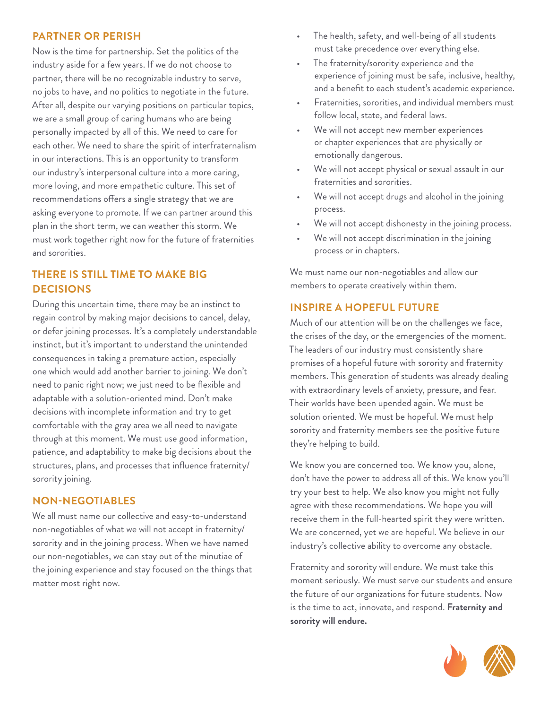#### **PARTNER OR PERISH**

Now is the time for partnership. Set the politics of the industry aside for a few years. If we do not choose to partner, there will be no recognizable industry to serve, no jobs to have, and no politics to negotiate in the future. After all, despite our varying positions on particular topics, we are a small group of caring humans who are being personally impacted by all of this. We need to care for each other. We need to share the spirit of interfraternalism in our interactions. This is an opportunity to transform our industry's interpersonal culture into a more caring, more loving, and more empathetic culture. This set of recommendations offers a single strategy that we are asking everyone to promote. If we can partner around this plan in the short term, we can weather this storm. We must work together right now for the future of fraternities and sororities.

#### **THERE IS STILL TIME TO MAKE BIG DECISIONS**

During this uncertain time, there may be an instinct to regain control by making major decisions to cancel, delay, or defer joining processes. It's a completely understandable instinct, but it's important to understand the unintended consequences in taking a premature action, especially one which would add another barrier to joining. We don't need to panic right now; we just need to be flexible and adaptable with a solution-oriented mind. Don't make decisions with incomplete information and try to get comfortable with the gray area we all need to navigate through at this moment. We must use good information, patience, and adaptability to make big decisions about the structures, plans, and processes that influence fraternity/ sorority joining.

#### **NON-NEGOTIABLES**

We all must name our collective and easy-to-understand non-negotiables of what we will not accept in fraternity/ sorority and in the joining process. When we have named our non-negotiables, we can stay out of the minutiae of the joining experience and stay focused on the things that matter most right now.

- The health, safety, and well-being of all students must take precedence over everything else.
- The fraternity/sorority experience and the experience of joining must be safe, inclusive, healthy, and a benefit to each student's academic experience.
- Fraternities, sororities, and individual members must follow local, state, and federal laws.
- We will not accept new member experiences or chapter experiences that are physically or emotionally dangerous.
- We will not accept physical or sexual assault in our fraternities and sororities.
- We will not accept drugs and alcohol in the joining process.
- We will not accept dishonesty in the joining process.
- We will not accept discrimination in the joining process or in chapters.

We must name our non-negotiables and allow our members to operate creatively within them.

#### **INSPIRE A HOPEFUL FUTURE**

Much of our attention will be on the challenges we face, the crises of the day, or the emergencies of the moment. The leaders of our industry must consistently share promises of a hopeful future with sorority and fraternity members. This generation of students was already dealing with extraordinary levels of anxiety, pressure, and fear. Their worlds have been upended again. We must be solution oriented. We must be hopeful. We must help sorority and fraternity members see the positive future they're helping to build.

We know you are concerned too. We know you, alone, don't have the power to address all of this. We know you'll try your best to help. We also know you might not fully agree with these recommendations. We hope you will receive them in the full-hearted spirit they were written. We are concerned, yet we are hopeful. We believe in our industry's collective ability to overcome any obstacle.

Fraternity and sorority will endure. We must take this moment seriously. We must serve our students and ensure the future of our organizations for future students. Now is the time to act, innovate, and respond. **Fraternity and sorority will endure.**